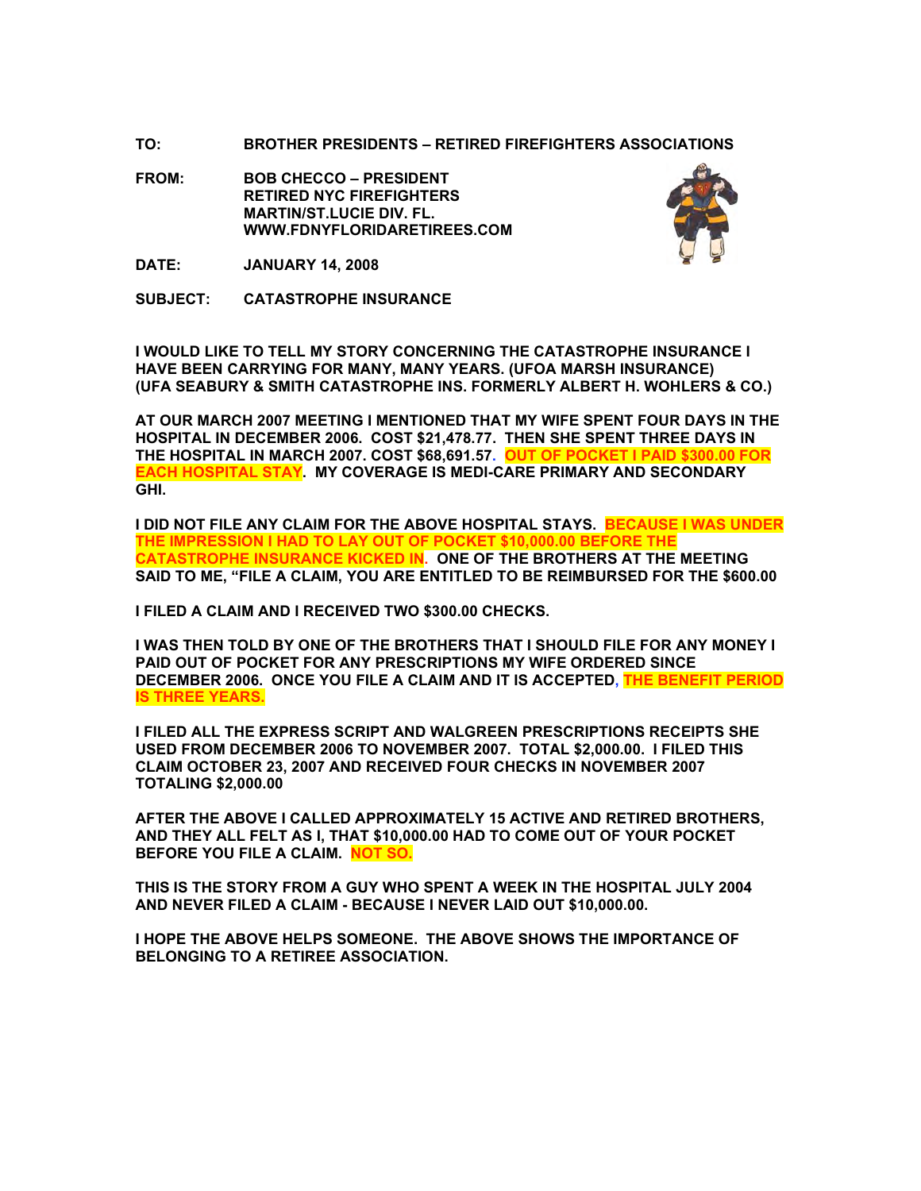**TO: BROTHER PRESIDENTS – RETIRED FIREFIGHTERS ASSOCIATIONS**

**FROM: BOB CHECCO – PRESIDENT RETIRED NYC FIREFIGHTERS MARTIN/ST.LUCIE DIV. FL. WWW.FDNYFLORIDARETIREES.COM**



- **DATE: JANUARY 14, 2008**
- **SUBJECT: CATASTROPHE INSURANCE**

**I WOULD LIKE TO TELL MY STORY CONCERNING THE CATASTROPHE INSURANCE I HAVE BEEN CARRYING FOR MANY, MANY YEARS. (UFOA MARSH INSURANCE) (UFA SEABURY & SMITH CATASTROPHE INS. FORMERLY ALBERT H. WOHLERS & CO.)**

**AT OUR MARCH 2007 MEETING I MENTIONED THAT MY WIFE SPENT FOUR DAYS IN THE HOSPITAL IN DECEMBER 2006. COST \$21,478.77. THEN SHE SPENT THREE DAYS IN THE HOSPITAL IN MARCH 2007. COST \$68,691.57. OUT OF POCKET I PAID \$300.00 FOR EACH HOSPITAL STAY. MY COVERAGE IS MEDI-CARE PRIMARY AND SECONDARY GHI.**

**I DID NOT FILE ANY CLAIM FOR THE ABOVE HOSPITAL STAYS. BECAUSE I WAS UNDER THE IMPRESSION I HAD TO LAY OUT OF POCKET \$10,000.00 BEFORE THE CATASTROPHE INSURANCE KICKED IN. ONE OF THE BROTHERS AT THE MEETING SAID TO ME, "FILE A CLAIM, YOU ARE ENTITLED TO BE REIMBURSED FOR THE \$600.00**

**I FILED A CLAIM AND I RECEIVED TWO \$300.00 CHECKS.**

**I WAS THEN TOLD BY ONE OF THE BROTHERS THAT I SHOULD FILE FOR ANY MONEY I PAID OUT OF POCKET FOR ANY PRESCRIPTIONS MY WIFE ORDERED SINCE DECEMBER 2006. ONCE YOU FILE A CLAIM AND IT IS ACCEPTED, THE BENEFIT PERIOD IS THREE YEARS.**

**I FILED ALL THE EXPRESS SCRIPT AND WALGREEN PRESCRIPTIONS RECEIPTS SHE USED FROM DECEMBER 2006 TO NOVEMBER 2007. TOTAL \$2,000.00. I FILED THIS CLAIM OCTOBER 23, 2007 AND RECEIVED FOUR CHECKS IN NOVEMBER 2007 TOTALING \$2,000.00** 

**AFTER THE ABOVE I CALLED APPROXIMATELY 15 ACTIVE AND RETIRED BROTHERS, AND THEY ALL FELT AS I, THAT \$10,000.00 HAD TO COME OUT OF YOUR POCKET BEFORE YOU FILE A CLAIM. NOT SO.** 

**THIS IS THE STORY FROM A GUY WHO SPENT A WEEK IN THE HOSPITAL JULY 2004 AND NEVER FILED A CLAIM - BECAUSE I NEVER LAID OUT \$10,000.00.**

**I HOPE THE ABOVE HELPS SOMEONE. THE ABOVE SHOWS THE IMPORTANCE OF BELONGING TO A RETIREE ASSOCIATION.**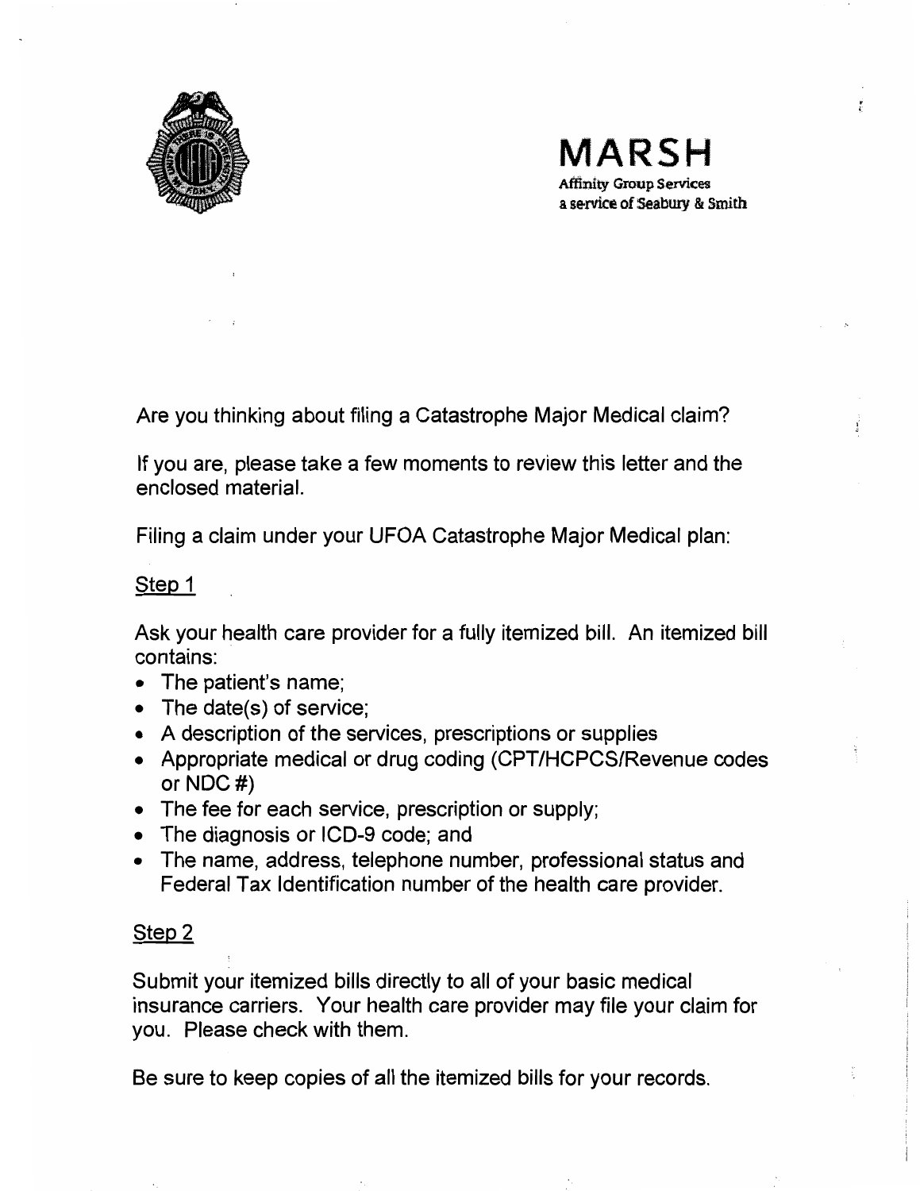

MARSH Affinity Group Services a service of Seabury & Smith

Are you thinking about filing a Catastrophe Major Medical claim?

If you are, please take a few moments to review this letter and the enclosed material.

Filing a claim under your UFOA Catastrophe Major Medical plan:

# Step 1

Ask your health care provider for a fully itemized bill. An itemized bill contains:

- The patient's name:
- $\bullet$  The date(s) of service;
- A description of the services, prescriptions or supplies
- Appropriate medical or drug coding (CPT/HCPCS/Revenue codes or NDC #)
- The fee for each service, prescription or supply;
- The diagnosis or ICD-9 code; and
- The name, address, telephone number, professional status and Federal Tax Identification number of the health care provider.

# Step 2

Submit your itemized bills directly to all of your basic medical insurance carriers. Your health care provider may file your claim for you. Please check with them.

Be sure to keep copies of all the itemized bills for your records.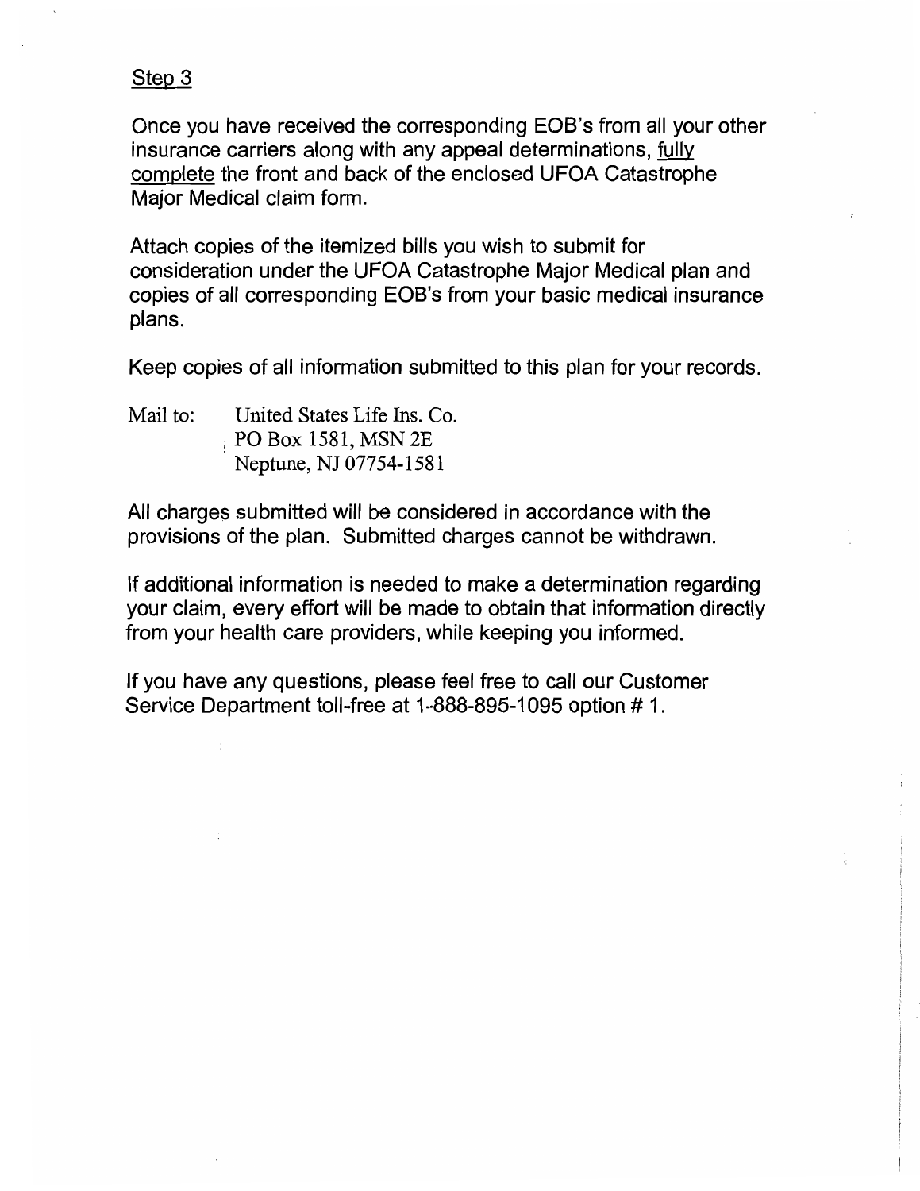# Step 3

Once you have received the corresponding EOB's from all your other insurance carriers along with any appeal determinations, fully complete the 'front and back of the enclosed UFOA Catastrophe Major Medical claim form.

Attach copies of the itemized bills you wish to submit for consideration under the UFOA Catastrophe Major Medical plan and copies of all corresponding EOB's from your basic medical insurance plans.

Keep copies of all information submitted to this plan for your records.

Mail to: United States Life Ins. Co. ! PO Box 1581, MSN 2E Neptune, NJ 07754-1581

All charges submitted will be considered in accordance with the provisions of the plan. Submitted charges cannot be withdrawn.

If additional information is needed to make a determination regarding your claim, every effort will be made to obtain that information directly from your health care providers, while keeping you jnformed.

If you have any questions, please feel free to call our Customer Service Department toll-free at 1-888-895-1095 option # 1 .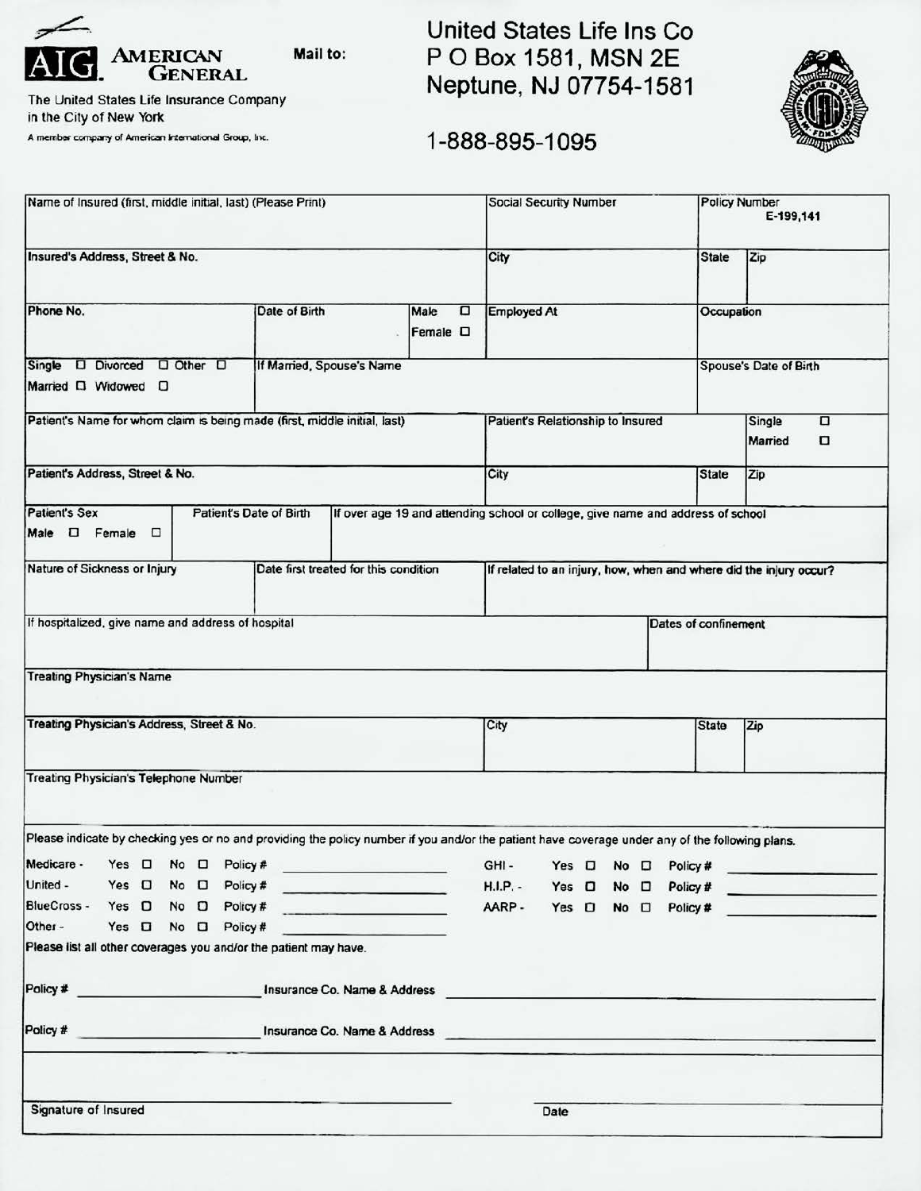

United States Life Ins Co P O Box 1581, MSN 2E Neptune, NJ 07754-1581



The United States Life Insurance Company in the City of New York A member company of American International Group, Inc.

1-888-895-1095

| Name of Insured (first, middle initial, last) (Please Print)                                                                                                                                                                                                                                          |                                                                                                                                                                                                                                | <b>Social Security Number</b>                                      |                                                                                 | <b>Policy Number</b><br>E-199,141 |                                                                                                                                                                                                                                      |
|-------------------------------------------------------------------------------------------------------------------------------------------------------------------------------------------------------------------------------------------------------------------------------------------------------|--------------------------------------------------------------------------------------------------------------------------------------------------------------------------------------------------------------------------------|--------------------------------------------------------------------|---------------------------------------------------------------------------------|-----------------------------------|--------------------------------------------------------------------------------------------------------------------------------------------------------------------------------------------------------------------------------------|
| Insured's Address, Street & No.                                                                                                                                                                                                                                                                       |                                                                                                                                                                                                                                | City                                                               | <b>State</b>                                                                    | Zip                               |                                                                                                                                                                                                                                      |
| Phone No.                                                                                                                                                                                                                                                                                             | Date of Birth                                                                                                                                                                                                                  | Male<br>o<br>Female $\square$                                      | <b>Employed At</b>                                                              | Occupation                        |                                                                                                                                                                                                                                      |
| Single D Divorced D Other D<br>Married D Widowed D                                                                                                                                                                                                                                                    | If Married, Spouse's Name                                                                                                                                                                                                      |                                                                    |                                                                                 |                                   | Spouse's Date of Birth                                                                                                                                                                                                               |
| Patient's Name for whom claim is being made (first, middle initial, last)                                                                                                                                                                                                                             |                                                                                                                                                                                                                                | Patient's Relationship to Insured                                  |                                                                                 | α<br>Single<br>Married<br>O       |                                                                                                                                                                                                                                      |
| Patient's Address, Street & No.                                                                                                                                                                                                                                                                       |                                                                                                                                                                                                                                |                                                                    | City                                                                            | <b>State</b>                      | Zip                                                                                                                                                                                                                                  |
| <b>Patient's Sex</b><br>Male D Female D                                                                                                                                                                                                                                                               | Patient's Date of Birth                                                                                                                                                                                                        |                                                                    | If over age 19 and attending school or college, give name and address of school |                                   |                                                                                                                                                                                                                                      |
| Nature of Sickness or Injury<br>Date first treated for this condition                                                                                                                                                                                                                                 |                                                                                                                                                                                                                                | If related to an injury, how, when and where did the injury occur? |                                                                                 |                                   |                                                                                                                                                                                                                                      |
| If hospitalized, give name and address of hospital<br><b>Treating Physician's Name</b>                                                                                                                                                                                                                |                                                                                                                                                                                                                                |                                                                    |                                                                                 | Dates of confinement              |                                                                                                                                                                                                                                      |
| Treating Physician's Address, Street & No.                                                                                                                                                                                                                                                            |                                                                                                                                                                                                                                |                                                                    | City                                                                            | <b>State</b>                      | Zip                                                                                                                                                                                                                                  |
| <b>Treating Physician's Telephone Number</b>                                                                                                                                                                                                                                                          |                                                                                                                                                                                                                                |                                                                    |                                                                                 |                                   |                                                                                                                                                                                                                                      |
|                                                                                                                                                                                                                                                                                                       |                                                                                                                                                                                                                                |                                                                    |                                                                                 |                                   |                                                                                                                                                                                                                                      |
|                                                                                                                                                                                                                                                                                                       |                                                                                                                                                                                                                                |                                                                    |                                                                                 |                                   |                                                                                                                                                                                                                                      |
| Yes $\Box$ No $\Box$ Policy #                                                                                                                                                                                                                                                                         | and the second company of the second second second second second second second second second second second second second second second second second second second second second second second second second second second sec |                                                                    | GHI-<br>Yes $\Box$<br>$No$ $\Box$                                               | Policy #                          | <u> The Same School and School and School and School and School and School and School and School and School and School and School and School and School and School and School and School</u>                                         |
| Yes $\Box$<br>$No$ $\Box$                                                                                                                                                                                                                                                                             | Policy #<br><u> The American School and The American School and The American School and</u>                                                                                                                                    |                                                                    | $H.I.P. -$<br>Yes $\Box$<br>No <sub>1</sub>                                     | Policy #                          |                                                                                                                                                                                                                                      |
| No D Policy #                                                                                                                                                                                                                                                                                         | the property of the control of the control of                                                                                                                                                                                  |                                                                    | AARP-<br>Yes $\Box$<br>No $\square$                                             | Policy #                          | <u>and the state of the state of the state of the state of the state of the state of the state of the state of the state of the state of the state of the state of the state of the state of the state of the state of the state</u> |
| Yes $\Box$<br>$No$ $\Box$                                                                                                                                                                                                                                                                             | Policy #                                                                                                                                                                                                                       |                                                                    |                                                                                 |                                   |                                                                                                                                                                                                                                      |
|                                                                                                                                                                                                                                                                                                       |                                                                                                                                                                                                                                |                                                                    |                                                                                 |                                   |                                                                                                                                                                                                                                      |
|                                                                                                                                                                                                                                                                                                       | Insurance Co. Name & Address                                                                                                                                                                                                   |                                                                    |                                                                                 |                                   |                                                                                                                                                                                                                                      |
| <u> 1999 - Johann Stoff, Amerikaansk konst</u>                                                                                                                                                                                                                                                        |                                                                                                                                                                                                                                |                                                                    | Insurance Co. Name & Address <b>Co. 120 August 2016</b>                         |                                   |                                                                                                                                                                                                                                      |
| Please indicate by checking yes or no and providing the policy number if you and/or the patient have coverage under any of the following plans.<br>Medicare -<br>United -<br>BlueCross - Yes D<br>Other -<br>Please list all other coverages you and/or the patient may have.<br>Policy #<br>Policy # |                                                                                                                                                                                                                                |                                                                    |                                                                                 |                                   |                                                                                                                                                                                                                                      |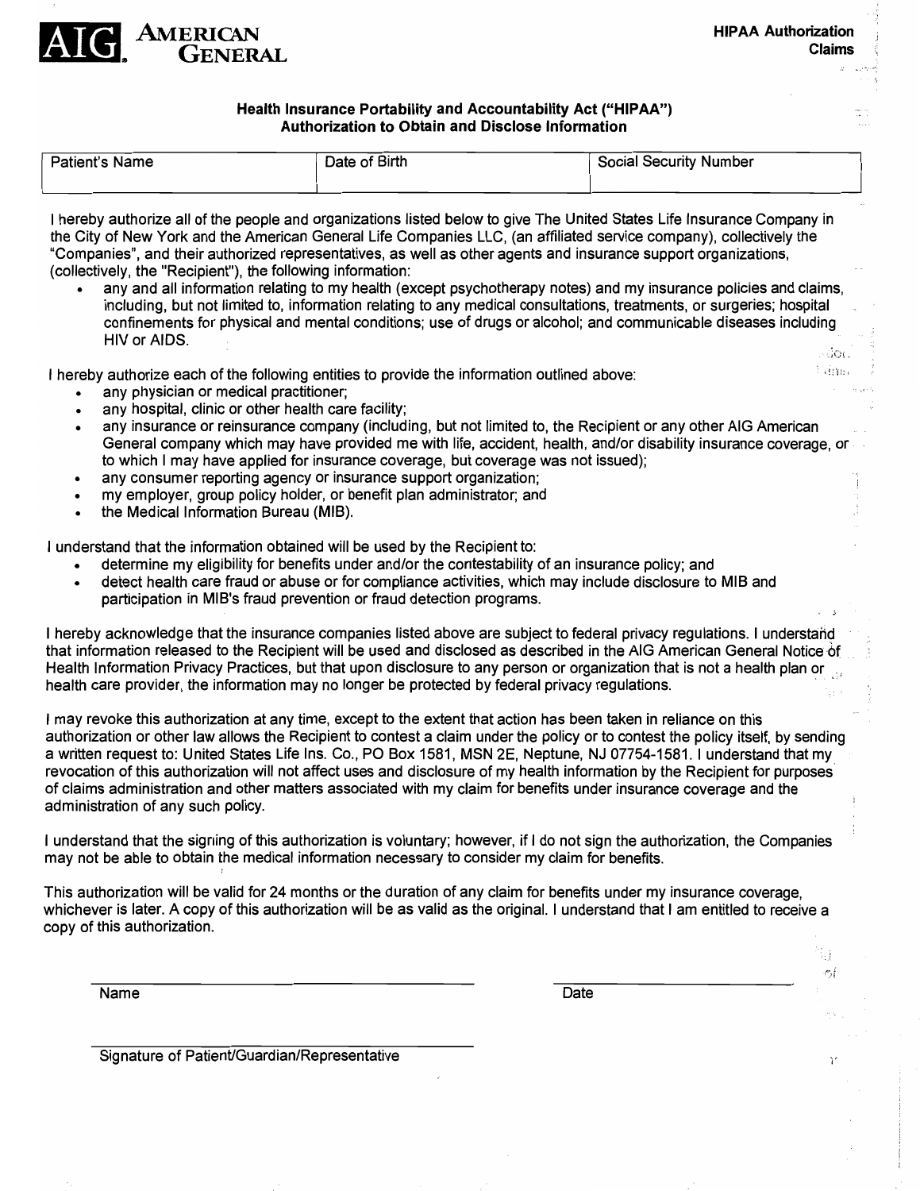

**Alexan** 

ų ۸J

#### Health Insurance Portability and Accountability Act ("HIPAA") Authorization to Obtain and Disclose Information

| Patient's Name | Date of Birth | <b>Social Security Number</b> |
|----------------|---------------|-------------------------------|
|                |               |                               |

I hereby authorize all of the people and organizations listed below to give The United States Life Insurance Company in the City of New York and the American General Life Companies LLC, (an affiliated service company), collectively the "Companies", and their authorized representatives, as well as other agents and insurance support organizations, (collectively, the "Recipient"), the following information:

any and all information relating to my health (except psychotherapy notes) and my insurance policies and claims, including, but not limited to, information relating to any medical consultations, treatments, or surgeries; hospital confinements for physical and mental conditions; use of drugs or alcohol; and communicable diseases including HIV or AIDS. ंठा

I hereby authorize each of the following entities to provide the information outlined above:

- any physician or medical practitioner;
- any hospital, clinic or other health care facility;
- any insurance or reinsurance company (including, but not limited to, the Recipient or any other AIG American General company which may have provided me with life, accident, health, and/or disability insurance coverage, or to which I may have applied for insurance coverage, but coverage was not issued);
- any consumer reporting agency or insurance support organization;
- my employer, group policy holder, or benefit plan administrator; and
- the Medical Information Bureau (MIB).

I understand that the information obtained will be used by the Recipient to:

- determine my eligibility for benefits under and/or the contestability of an insurance policy; and
- detect health care fraud or abuse or for compliance activities, which may include disclosure to MIB and participation in MIS's fraud prevention or fraud detection programs.

I hereby acknowledge that the insurance companies listed above are subject to federal privacy regulations. I understand that information released to the Recipient will be used and disclosed as described in the AIG American General Notice of Health Information Privacy Practices, but that upon disclosure to any person or organization that is not a health plan or *',i*  health care provider, the information may no longer be protected by federal privacy regulations.

I may revoke this authorization at any time, except to the extent that action has been taken in reliance on this authorization or other law allows the Recipient to contest a claim under the policy or to contest the policy itself, by sending a written request to: United States Life Ins. Co., PO Sox 1581, MSN 2E, Neptune, NJ 07754-1581. I understand that my revocation of this authorization will not affect uses and disclosure of my health information by the Recipient for purposes' of claims administration and other matters associated with my claim for benefits under insurance coverage and the administration of any such policy.

I understand that the signing of this authorization is voluntary; however, if I do not sign the authorization, the Companies may not be able to obtain the medical information necessary to consider my claim for benefits.

This authorization will be valid for 24 months or the duration of any claim for benefits under my insurance coverage, whichever is later. A copy of this authorization will be as valid as the original. I understand that I am entitled to receive a copy of this authorization.

Name Date **Date** 

Signature of Patient/Guardian/Representative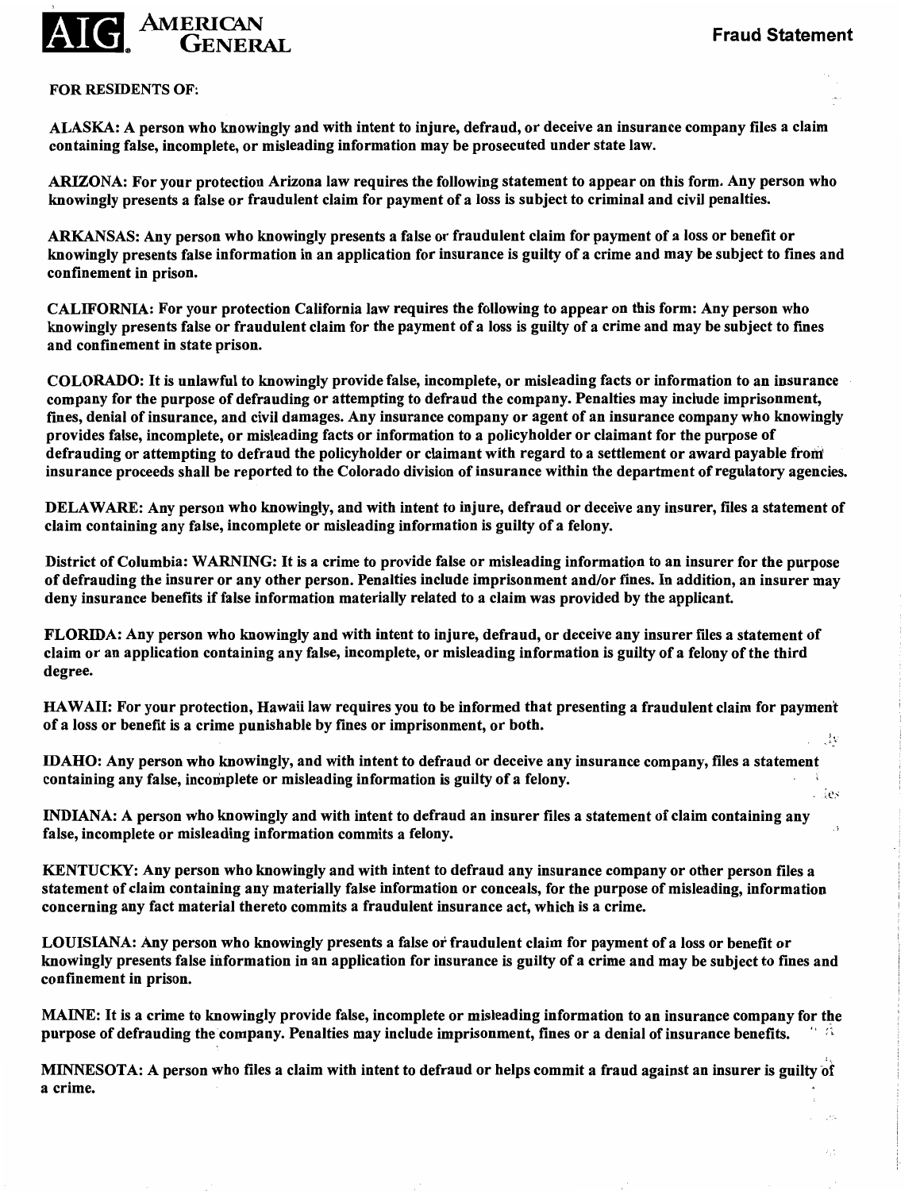

#### FOR RESIDENTS OF:

ALASKA: A person who knowingly and with intent to injure, defraud, or deceive an insurance company files a claim containing false, incomplete, or misleading information may be prosecuted under state law.

ARIZONA: For your protection Arizona law requires the following statement to appear on this form. Any person who knowingly presents a false or fraudulent claim for payment of a loss is subject to criminal and civil penalties.

ARKANSAS: Any person who knowingly presents a false or fraudulent claim for payment of a loss or benefit or knowingly presents false information in an application for insurance is guilty of a crime and may be subject to fines and confinement in prison.

CALIFORNIA: For your protection California law requires the following to appear on this form: Any person who knowingly presents false or fraudulent claim for the payment of a loss is guilty of a crime and may be subject to fines and confinement in state prison.

COLORADO: It is unlawful to knowingly provide false, incomplete, or misleading facts or information to an insurance company for the purpose of defrauding or attempting to defraud the company. Penalties may include imprisonment, fines, denial of insurance, and civil damages. Any insurance company or agent of an insurance company who knowingly provides false, incomplete, or misleading facts or information to a policyholder or claimant for the purpose of defrauding or attempting to defraud the policyholder or claimant with regard to a settlement or award payable front insurance proceeds shall be reported to the Colorado division of insurance within the department of regulatory agencies.

DELAWARE: Any person who knowingly, and with intent to injure, defraud or deceive any insurer, files a statement of claim containing any false, incomplete or misleading information is guilty of a felony.

District of Columbia: WARNING: It is a crime to provide false or misleading information to an insurer for the purpose of defrauding the insurer or any other person. Penalties include imprisonment and/or fines. In addition, an insurer may deny insurance benefits if false information materially related to a claim was provided by the applicant

FLORIDA: Any person who knowingly and with intent to injure, defraud, or deceive any insurer fIles a statement of claim or an application containing any false, incomplete, or misleading information is guilty of a felony of the third degree.

HAWAII: For your protection, Hawaii law requires you to be informed that presenting a fraudulent claim for payment of a loss or benefit is a crime punishable by fines or imprisonment, or both.  $\sim$ 

IDAHO: Any person who knowingly, and with intent to defraud or deceive any insurance company, files a statement containing any false, incomplete or misleading information is guilty of a felony.

INDIANA: A person who knowingly and with intent to defraud an insurer files a statement of claim containing any false, incomplete or misleading information commits a felony.

KENTUCKY: Any person who knowingly and with intent to defraud any insurance company or other person files a statement of claim containing any materially false information or conceals, for the purpose of misleading, information concerning any fact material thereto commits a fraudulent insurance act, which is a crime.

LOUISIANA: Any person who knowingly presents a false or fraudulent claim for payment of a loss or benefit or knowingly presents false information in an application for insurance is guilty of a crime and may be subject to fines and confinement in prison.

MAINE: It is a crime to knowingly provide false, incomplete or misleading information to an insurance company for the purpose of defrauding the company. Penalties may include imprisonment, fines or a denial of insurance benefits.

MINNESOTA: A person who files a claim with intent to defraud or helps commit a fraud against an insurer is guilty of a crime.

. ies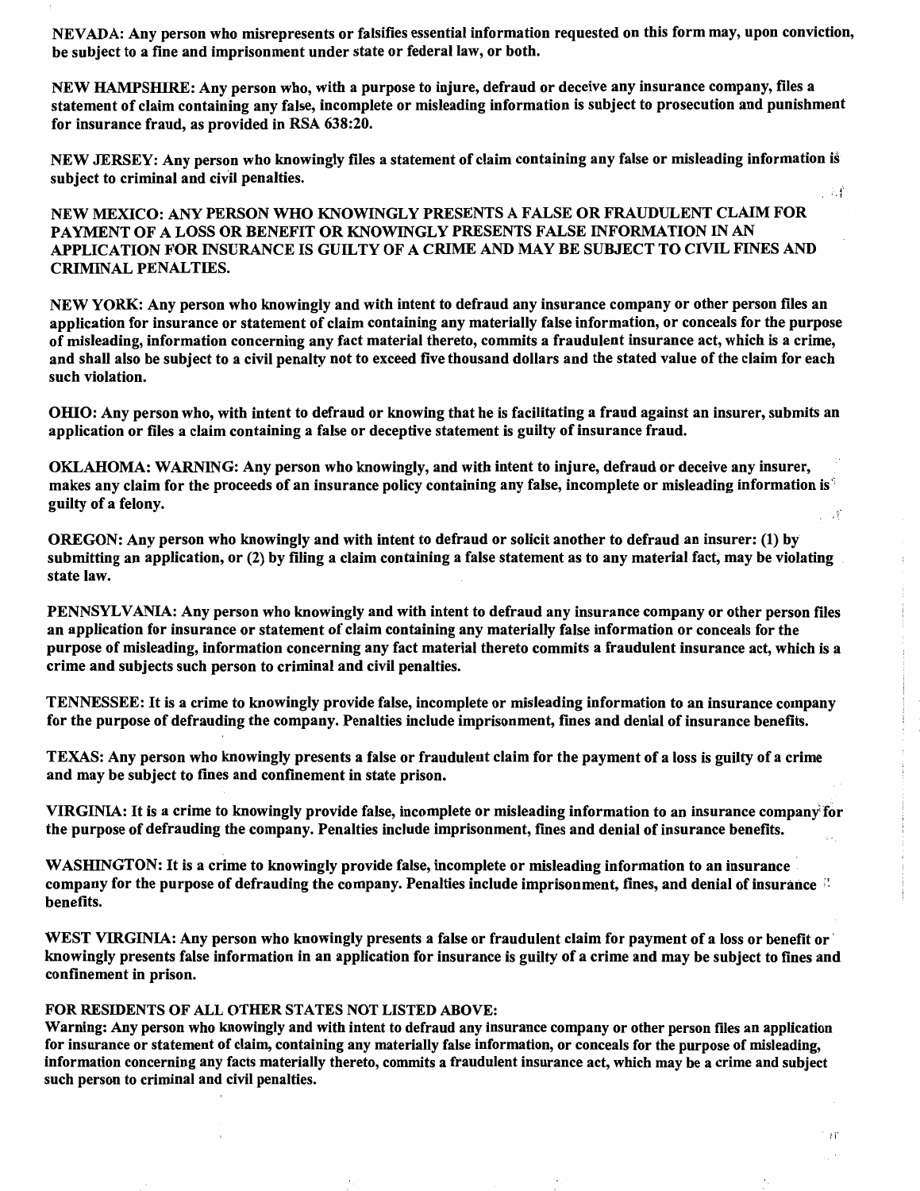NEVADA: Any person who misrepresents or falsifies essential information requested on this form may, upon conviction, be subject to a fine and imprisonment under state or federal law, or both.

NEW HAMPSHIRE: Any person who, with a purpose to injure, defraud or deceive any insurance company, files a statement of claim containing any false, incomplete or misleading information is subject to prosecution and punishment for insurance fraud, as provided in RSA 638:20.

NEW JERSEY: Any person who knowingly files a statement of claim containing any false or misleading information is subject to criminal and civil penalties. . 14

NEW MEXICO: ANY PERSON WHO KNOWINGLY PRESENTS A FALSE OR FRAUDULENT CLAIM FOR PAYMENT OF A LOSS OR BENEFIT OR KNOWINGLY PRESENTS FALSE INFORMATION IN AN APPLICATION FOR INSURANCE IS GUILTY OF A CRIME AND MAY BE SUBJECT TO CIVIL FINES AND CRIMINAL PENALTIES.

NEW YORK: Any person who knowingly and with intent to defraud any insurance company or other person files an application for insurance or statement of claim containing any materially false information, or conceals for the purpose of misleading, information concerning any fact material thereto, commits a fraudulent insurance act, which is a crime, and shall also be subject to a civil penalty not to exceed five thousand dollars and the stated value of the claim for each such violation.

OHIO: Any person who, with intent to defraud or knowing that he is facilitating a fraud against an insurer, submits an application or files a claim containing a false or deceptive statement is guilty of insurance fraud.

OKLAHOMA: WARNING: Any person who knowingly, and with intent to injure, defraud or deceive any insurer, makes any claim for the proceeds of an insurance policy containing any false, incomplete or misleading information is  $\mathbf{S}$ guilty of a felony.  $\cdots$ 

OREGON: Any person who knowingly and with intent to defraud or solicit another to defraud an insurer: (1) by submitting an application, or (2) by filing a claim containing a false statement as to any material fact, may be violating state law.

PENNSYLVANIA: Any person who knowingly and with intent to defraud any insurance company or other person files an application for insurance or statement of claim containing any materially false information or conceals for the purpose of misleading, information concerning any fact material thereto commits a fraudulent insurance act, which is a crime and subjects such person to criminal and civil penalties.

TENNESSEE: It is a crime to knowingly provide false, incomplete or misleading information to an insurance company for the purpose of defrauding the company. Penalties include imprisonment, fines and denial of insurance benefits.

TEXAS: Any person who knowingly presents a false or fraudulent claim for the payment of a loss is guilty of a crime and may be subject to fines and confinement in state prison.

VIRGINIA: It is a crime to knowingly provide false, incomplete or misleading information to an insurance company for the purpose of defrauding the company. Penalties include imprisonment, fines and denial of insurance benefits.

WASHINGTON: It is a crime to knowingly provide false, incomplete or misleading information to an insurance company for the purpose of defrauding the company. Penalties include imprisonment, fines, and denial of insurance  $\mathbb{S}$ benefits.

WEST VIRGINIA: Any person who knowingly presents a false or fraudulent claim for payment of a loss or benefit or' knowingly presents false information in an application for insurance is guilty of a crime and may be subject to fines and confinement in prison.

#### FOR RESIDENTS OF ALL OTHER STATES NOT LISTED ABOVE:

Warning: Any person who knowingly and with intent to defraud any insurance company or other person files an application for insurance or statement of claim, containing any materially false information, or conceals for the purpose of misleading, information concerning any facts materially thereto, commits a fraudulent insurance act, which may be a crime and subject such person to criminal and civil penalties.

 $\ddot{\phantom{1}}$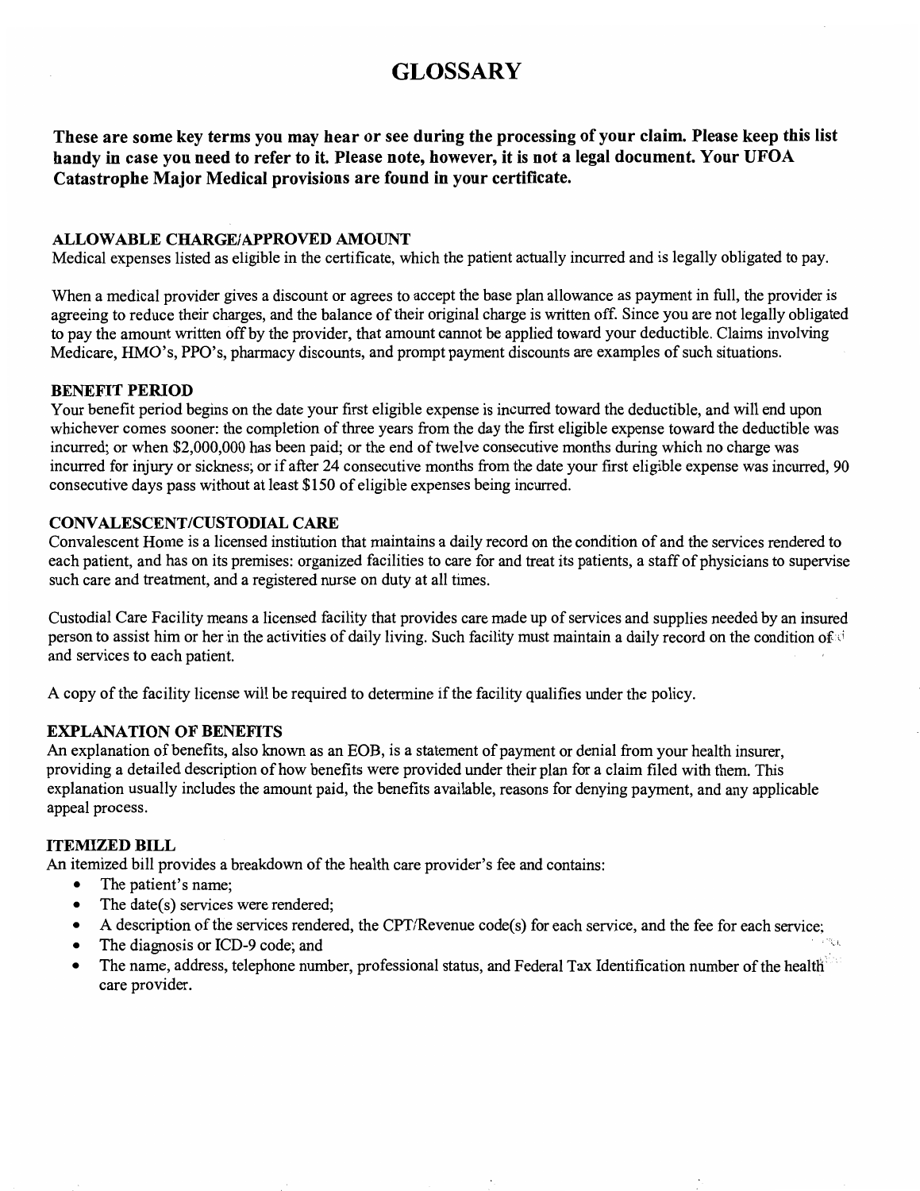# GLOSSARY

These are some key terms you may hear or see during the processing of your claim. Please keep this list handy in case you need to refer to it. Please note, however, it is not a legal document. Your UFOA Catastrophe Major Medical provisions are found in your certificate.

# ALLOWABLE CHARGE/APPROVED AMOUNT

Medical expenses listed as eligible in the certificate, which the patient actually incurred and is legally obligated to pay.

When a medical provider gives a discount or agrees to accept the base plan allowance as payment in full, the provider is agreeing to reduce their charges, and the balance of their original charge is written off. Since you are not legally obligated to pay the amount written off by the provider, that amount cannot be applied toward your deductible. Claims involving Medicare, HMO's, PPO's, pharmacy discounts, and prompt payment discounts are examples of such situations.

## BENEFIT PERIOD

Your benefit period begins on the date your first eligible expense is incurred toward the deductible, and will end upon whichever comes sooner: the completion of three years from the day the first eligible expense toward the deductible was incurred; or when \$2,000,000 has been paid; or the end of twelve consecutive months during which no charge was incurred for injury or sickness; or if after 24 consecutive months from the date your first eligible expense was incurred, 90 consecutive days pass without at least \$150 of eligible expenses being incurred.

# CONY ALESCENT/CUSTODIAL CARE

Convalescent Home is a licensed institution that maintains a daily record on the condition of and the services rendered to each patient, and has on its premises: organized facilities to care for and treat its patients, a staff of physicians to supervise such care and treatment, and a registered nurse on duty at all times.

Custodial Care Facility means a licensed facility that provides care made up of services and supplies needed by an insured person to assist him or her in the activities of daily living. Such facility must maintain a daily record on the condition of  $\mathbb{R}^d$ and services to each patient.

A copy ofthe facility license will be required to determine ifthe facility qualifies under the policy.

#### EXPLANATION OF BENEFITS

An explanation of benefits, also known as an EOB, is a statement of payment or denial from your health insurer, providing a detailed description of how benefits were provided under their plan for a claim filed with them. This explanation usually includes the amount paid, the benefits available, reasons for denying payment, and any applicable appeal process.

#### ITEMIZED BILL

An itemized bill provides a breakdown of the health care provider's fee and contains:

- The patient's name:
- The date(s) services were rendered;
- A description of the services rendered, the CPT/Revenue code(s) for each service, and the fee for each service:
- The diagnosis or ICD-9 code; and
- The name, address, telephone number, professional status, and Federal Tax Identification number of the health<sup>1</sup> care provider.